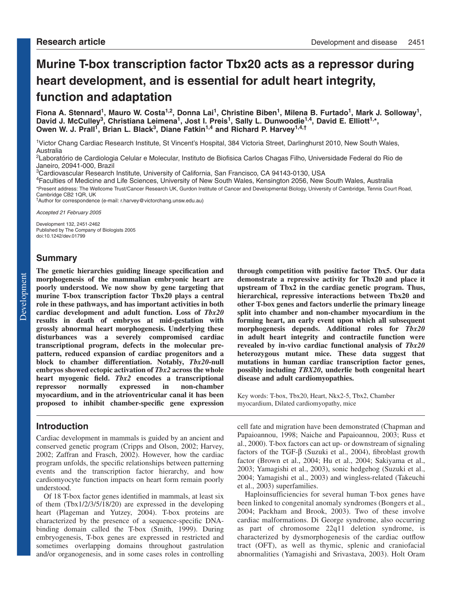# **Murine T-box transcription factor Tbx20 acts as a repressor during heart development, and is essential for adult heart integrity, function and adaptation**

Fiona A. Stennard<sup>1</sup>, Mauro W. Costa<sup>1,2</sup>, Donna Lai<sup>1</sup>, Christine Biben<sup>1</sup>, Milena B. Furtado<sup>1</sup>, Mark J. Solloway<sup>1</sup>, David J. McCulley<sup>3</sup>, Christiana Leimena<sup>1</sup>, Jost I. Preis<sup>1</sup>, Sally L. Dunwoodie<sup>1,4</sup>, David E. Elliott<sup>1,\*</sup>, **Owen W. J. Prall1, Brian L. Black3, Diane Fatkin1,4 and Richard P. Harvey1,4,†**

1Victor Chang Cardiac Research Institute, St Vincent's Hospital, 384 Victoria Street, Darlinghurst 2010, New South Wales, Australia

2Laboratório de Cardiologia Celular e Molecular, Instituto de Biofisica Carlos Chagas Filho, Universidade Federal do Rio de Janeiro, 20941-000, Brazil

3Cardiovascular Research Institute, University of California, San Francisco, CA 94143-0130, USA

4Faculties of Medicine and Life Sciences, University of New South Wales, Kensington 2056, New South Wales, Australia \*Present address: The Wellcome Trust/Cancer Research UK, Gurdon Institute of Cancer and Developmental Biology, University of Cambridge, Tennis Court Road, Cambridge CB2 1QR, UK

†Author for correspondence (e-mail: r.harvey@victorchang.unsw.edu.au)

Accepted 21 February 2005

Development 132, 2451-2462 Published by The Company of Biologists 2005 doi:10.1242/dev.01799

# **Summary**

**The genetic hierarchies guiding lineage specification and morphogenesis of the mammalian embryonic heart are poorly understood. We now show by gene targeting that murine T-box transcription factor Tbx20 plays a central role in these pathways, and has important activities in both cardiac development and adult function. Loss of** *Tbx20* **results in death of embryos at mid-gestation with grossly abnormal heart morphogenesis. Underlying these disturbances was a severely compromised cardiac transcriptional program, defects in the molecular prepattern, reduced expansion of cardiac progenitors and a block to chamber differentiation. Notably,** *Tbx20***-null embryos showed ectopic activation of** *Tbx2* **across the whole heart myogenic field.** *Tbx2* **encodes a transcriptional repressor normally expressed in non-chamber myocardium, and in the atrioventricular canal it has been proposed to inhibit chamber-specific gene expression**

# **Introduction**

Cardiac development in mammals is guided by an ancient and conserved genetic program (Cripps and Olson, 2002; Harvey, 2002; Zaffran and Frasch, 2002). However, how the cardiac program unfolds, the specific relationships between patterning events and the transcription factor hierarchy, and how cardiomyocyte function impacts on heart form remain poorly understood.

Of 18 T-box factor genes identified in mammals, at least six of them (Tbx1/2/3/5/18/20) are expressed in the developing heart (Plageman and Yutzey, 2004). T-box proteins are characterized by the presence of a sequence-specific DNAbinding domain called the T-box (Smith, 1999). During embryogenesis, T-box genes are expressed in restricted and sometimes overlapping domains throughout gastrulation and/or organogenesis, and in some cases roles in controlling

**through competition with positive factor Tbx5. Our data demonstrate a repressive activity for Tbx20 and place it upstream of Tbx2 in the cardiac genetic program. Thus, hierarchical, repressive interactions between Tbx20 and other T-box genes and factors underlie the primary lineage split into chamber and non-chamber myocardium in the forming heart, an early event upon which all subsequent morphogenesis depends. Additional roles for** *Tbx20* **in adult heart integrity and contractile function were revealed by in-vivo cardiac functional analysis of** *Tbx20* **heterozygous mutant mice. These data suggest that mutations in human cardiac transcription factor genes, possibly including** *TBX20***, underlie both congenital heart disease and adult cardiomyopathies.**

Key words: T-box, Tbx20, Heart, Nkx2-5, Tbx2, Chamber myocardium, Dilated cardiomyopathy, mice

cell fate and migration have been demonstrated (Chapman and Papaioannou, 1998; Naiche and Papaioannou, 2003; Russ et al., 2000). T-box factors can act up- or downstream of signaling factors of the TGF- $\beta$  (Suzuki et al., 2004), fibroblast growth factor (Brown et al., 2004; Hu et al., 2004; Sakiyama et al., 2003; Yamagishi et al., 2003), sonic hedgehog (Suzuki et al., 2004; Yamagishi et al., 2003) and wingless-related (Takeuchi et al., 2003) superfamilies.

Haploinsufficiencies for several human T-box genes have been linked to congenital anomaly syndromes (Bongers et al., 2004; Packham and Brook, 2003). Two of these involve cardiac malformations. Di George syndrome, also occurring as part of chromosome 22q11 deletion syndrome, is characterized by dysmorphogenesis of the cardiac outflow tract (OFT), as well as thymic, splenic and craniofacial abnormalities (Yamagishi and Srivastava, 2003). Holt Oram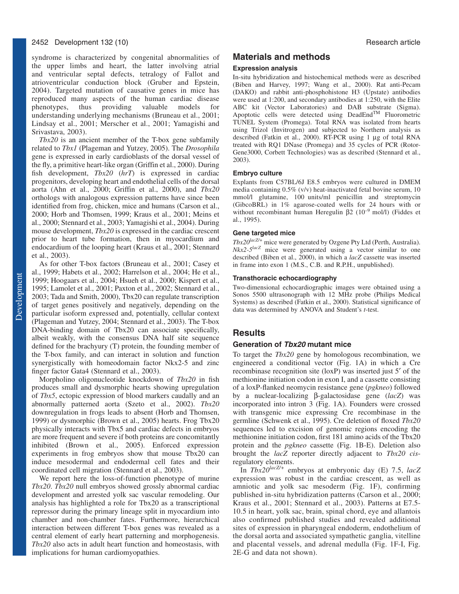## 2452 Development 132 (10) Research article

syndrome is characterized by congenital abnormalities of the upper limbs and heart, the latter involving atrial and ventricular septal defects, tetralogy of Fallot and atrioventricular conduction block (Gruber and Epstein, 2004). Targeted mutation of causative genes in mice has reproduced many aspects of the human cardiac disease<br>phenotypes, thus providing valuable models for thus providing valuable models for understanding underlying mechanisms (Bruneau et al., 2001; Lindsay et al., 2001; Merscher et al., 2001; Yamagishi and Srivastava, 2003).

*Tbx20* is an ancient member of the T-box gene subfamily related to *Tbx1* (Plageman and Yutzey, 2005). The *Drosophila* gene is expressed in early cardioblasts of the dorsal vessel of the fly, a primitive heart-like organ (Griffin et al., 2000). During fish development, *Tbx20* (*hrT*) is expressed in cardiac progenitors, developing heart and endothelial cells of the dorsal aorta (Ahn et al., 2000; Griffin et al., 2000), and *Tbx20* orthologs with analogous expression patterns have since been identified from frog, chicken, mice and humans (Carson et al., 2000; Horb and Thomsen, 1999; Kraus et al., 2001; Meins et al., 2000; Stennard et al., 2003; Yamagishi et al., 2004). During mouse development, *Tbx20* is expressed in the cardiac crescent prior to heart tube formation, then in myocardium and endocardium of the looping heart (Kraus et al., 2001; Stennard et al., 2003).

As for other T-box factors (Bruneau et al., 2001; Casey et al., 1999; Habets et al., 2002; Harrelson et al., 2004; He et al., 1999; Hoogaars et al., 2004; Hsueh et al., 2000; Kispert et al., 1995; Lamolet et al., 2001; Paxton et al., 2002; Stennard et al., 2003; Tada and Smith, 2000), Tbx20 can regulate transcription of target genes positively and negatively, depending on the particular isoform expressed and, potentially, cellular context (Plageman and Yutzey, 2004; Stennard et al., 2003). The T-box DNA-binding domain of Tbx20 can associate specifically, albeit weakly, with the consensus DNA half site sequence defined for the brachyury (T) protein, the founding member of the T-box family, and can interact in solution and function synergistically with homeodomain factor Nkx2-5 and zinc finger factor Gata4 (Stennard et al., 2003).

Morpholino oligonucleotide knockdown of *Tbx20* in fish produces small and dysmorphic hearts showing upregulation of *Tbx5*, ectopic expression of blood markers caudally and an abnormally patterned aorta (Szeto et al., 2002). *Tbx20* downregulation in frogs leads to absent (Horb and Thomsen, 1999) or dysmorphic (Brown et al., 2005) hearts. Frog Tbx20 physically interacts with Tbx5 and cardiac defects in embryos are more frequent and severe if both proteins are concomitantly inhibited (Brown et al., 2005). Enforced expression experiments in frog embryos show that mouse Tbx20 can induce mesodermal and endodermal cell fates and their coordinated cell migration (Stennard et al., 2003).

We report here the loss-of-function phenotype of murine *Tbx20*. *Tbx20* null embryos showed grossly abnormal cardiac development and arrested yolk sac vascular remodeling. Our analysis has highlighted a role for Tbx20 as a transcriptional repressor during the primary lineage split in myocardium into chamber and non-chamber fates. Furthermore, hierarchical interaction between different T-box genes was revealed as a central element of early heart patterning and morphogenesis. *Tbx20* also acts in adult heart function and homeostasis, with implications for human cardiomyopathies.

# **Materials and methods**

## **Expression analysis**

In-situ hybridization and histochemical methods were as described (Biben and Harvey, 1997; Wang et al., 2000). Rat anti-Pecam (DAKO) and rabbit anti-phosphohistone H3 (Upstate) antibodies were used at 1:200, and secondary antibodies at 1:250, with the Elite ABC kit (Vector Laboratories) and DAB substrate (Sigma). Apoptotic cells were detected using DeadEnd<sup>TM</sup> Fluorometric TUNEL System (Promega). Total RNA was isolated from hearts using Trizol (Invitrogen) and subjected to Northern analysis as described (Fatkin et al., 2000). RT-PCR using 1 µg of total RNA treated with RQ1 DNase (Promega) and 35 cycles of PCR (Rotor-Gene3000, Corbett Technologies) was as described (Stennard et al., 2003).

#### **Embryo culture**

Explants from C57BL/6J E8.5 embryos were cultured in DMEM media containing 0.5% (v/v) heat-inactivated fetal bovine serum, 10 mmol/l glutamine, 100 units/ml penicillin and streptomycin (GibcoBRL) in 1% agarose-coated wells for 24 hours with or without recombinant human Heregulin β2 (10<sup>-9</sup> mol/l) (Fiddes et al., 1995).

#### **Gene targeted mice**

*Tbx20lacZ/+* mice were generated by Ozgene Pty Ltd (Perth, Australia). *Nkx2-5lacZ* mice were generated using a vector similar to one described (Biben et al., 2000), in which a *lacZ* cassette was inserted in frame into exon 1 (M.S., C.B. and R.P.H., unpublished).

#### **Transthoracic echocardiography**

Two-dimensional echocardiographic images were obtained using a Sonos 5500 ultrasonograph with 12 MHz probe (Philips Medical Systems) as described (Fatkin et al., 2000). Statistical significance of data was determined by ANOVA and Student's *t*-test.

## **Results**

### **Generation of Tbx20 mutant mice**

To target the *Tbx20* gene by homologous recombination, we engineered a conditional vector (Fig. 1A) in which a Cre recombinase recognition site (loxP) was inserted just 5′ of the methionine initiation codon in exon I, and a cassette consisting of a loxP-flanked neomycin resistance gene (*pgkneo*) followed by a nuclear-localizing β-galactosidase gene (*lacZ*) was incorporated into intron 3 (Fig. 1A). Founders were crossed with transgenic mice expressing Cre recombinase in the germline (Schwenk et al., 1995). Cre deletion of floxed *Tbx20* sequences led to excision of genomic regions encoding the methionine initiation codon, first 181 amino acids of the Tbx20 protein and the *pgkneo* cassette (Fig. 1B-E). Deletion also brought the *lacZ* reporter directly adjacent to *Tbx20 cis*regulatory elements.

In *Tbx20lacZ/+* embryos at embryonic day (E) 7.5, *lacZ* expression was robust in the cardiac crescent, as well as amniotic and yolk sac mesoderm (Fig. 1F), confirming published in-situ hybridization patterns (Carson et al., 2000; Kraus et al., 2001; Stennard et al., 2003). Patterns at E7.5- 10.5 in heart, yolk sac, brain, spinal chord, eye and allantois also confirmed published studies and revealed additional sites of expression in pharyngeal endoderm, endothelium of the dorsal aorta and associated sympathetic ganglia, vitelline and placental vessels, and adrenal medulla (Fig. 1F-I, Fig. 2E-G and data not shown).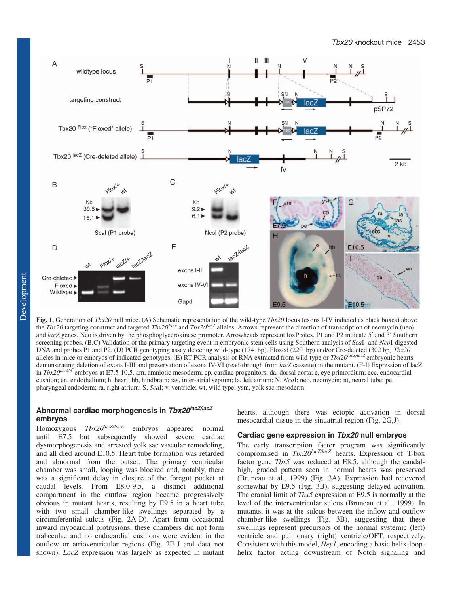

**Fig. 1.** Generation of *Tbx20* null mice. (A) Schematic representation of the wild-type *Tbx20* locus (exons I-IV indicted as black boxes) above the *Tbx20* targeting construct and targeted *Tbx20Flox* and *Tbx20lacZ* alleles. Arrows represent the direction of transcription of neomycin (neo) and *lacZ* genes. Neo is driven by the phosphoglycerokinase promoter. Arrowheads represent loxP sites. P1 and P2 indicate 5' and 3' Southern screening probes. (B,C) Validation of the primary targeting event in embryonic stem cells using Southern analysis of *Sca*I- and *Nco*I-digested DNA and probes P1 and P2. (D) PCR genotyping assay detecting wild-type (174 bp), Floxed (220 bp) and/or Cre-deleted (302 bp) *Tbx20* alleles in mice or embryos of indicated genotypes. (E) RT-PCR analysis of RNA extracted from wild-type or *Tbx20lacZ/lacZ* embryonic hearts demonstrating deletion of exons I-III and preservation of exons IV-VI (read-through from *lacZ* cassette) in the mutant. (F-I) Expression of lacZ in *Tbx20lacZ/+* embryos at E7.5-10.5. am, amniotic mesoderm; cp, cardiac progenitors; da, dorsal aorta; e, eye primordium; ecc, endocardial cushion; en, endothelium; h, heart; hb, hindbrain; ias, inter-atrial septum; la, left atrium; N, *Nco*I; neo, neomycin; nt, neural tube; pe, pharyngeal endoderm; ra, right atrium; S, *Sca*I; v, ventricle; wt, wild type; ysm, yolk sac mesoderm.

# **Abnormal cardiac morphogenesis in Tbx20lacZ/lacZ embryos**

Homozygous *Tbx20lacZ/lacZ* embryos appeared normal until E7.5 but subsequently showed severe cardiac dysmorphogenesis and arrested yolk sac vascular remodeling, and all died around E10.5. Heart tube formation was retarded and abnormal from the outset. The primary ventricular chamber was small, looping was blocked and, notably, there was a significant delay in closure of the foregut pocket at caudal levels. From E8.0-9.5, a distinct additional compartment in the outflow region became progressively obvious in mutant hearts, resulting by E9.5 in a heart tube with two small chamber-like swellings separated by a circumferential sulcus (Fig. 2A-D). Apart from occasional inward myocardial protrusions, these chambers did not form trabeculae and no endocardial cushions were evident in the outflow or atrioventricular regions (Fig. 2E-J and data not shown). *LacZ* expression was largely as expected in mutant

hearts, although there was ectopic activation in dorsal mesocardial tissue in the sinuatrial region (Fig. 2G,J).

## **Cardiac gene expression in Tbx20 null embryos**

The early transcription factor program was significantly compromised in *Tbx20lacZ/lacZ* hearts. Expression of T-box factor gene *Tbx5* was reduced at E8.5, although the caudalhigh, graded pattern seen in normal hearts was preserved (Bruneau et al., 1999) (Fig. 3A). Expression had recovered somewhat by E9.5 (Fig. 3B), suggesting delayed activation. The cranial limit of *Tbx5* expression at E9.5 is normally at the level of the interventricular sulcus (Bruneau et al., 1999). In mutants, it was at the sulcus between the inflow and outflow chamber-like swellings (Fig. 3B), suggesting that these swellings represent precursors of the normal systemic (left) ventricle and pulmonary (right) ventricle/OFT, respectively. Consistent with this model, *Hey1*, encoding a basic helix-loophelix factor acting downstream of Notch signaling and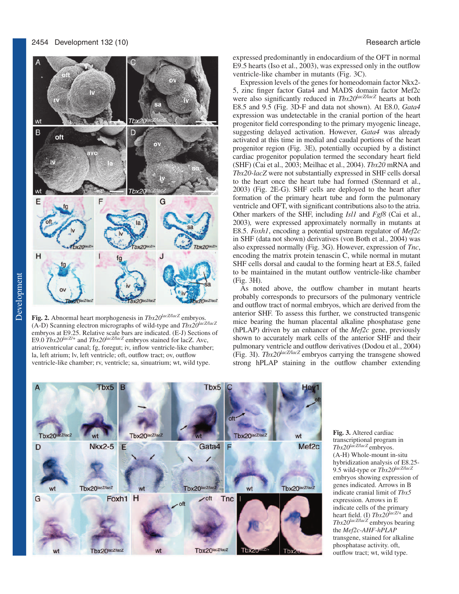

**Fig. 2.** Abnormal heart morphogenesis in *Tbx20lacZ/lacZ* embryos. (A-D) Scanning electron micrographs of wild-type and *Tbx20lacZ/lacZ* embryos at E9.25. Relative scale bars are indicated. (E-J) Sections of E9.0  $Tbx20^{lacZ/4}$  and  $Tbx20^{lacZ/lacZ}$  embryos stained for lacZ. Avc, atrioventricular canal; fg, foregut; iv, inflow ventricle-like chamber; la, left atrium; lv, left ventricle; oft, outflow tract; ov, outflow ventricle-like chamber; rv, ventricle; sa, sinuatrium; wt, wild type.

expressed predominantly in endocardium of the OFT in normal E9.5 hearts (Iso et al., 2003), was expressed only in the outflow ventricle-like chamber in mutants (Fig. 3C).

Expression levels of the genes for homeodomain factor Nkx2- 5, zinc finger factor Gata4 and MADS domain factor Mef2c were also significantly reduced in  $Tbx20^{lacZ/lacZ}$  hearts at both E8.5 and 9.5 (Fig. 3D-F and data not shown). At E8.0, *Gata4* expression was undetectable in the cranial portion of the heart progenitor field corresponding to the primary myogenic lineage, suggesting delayed activation. However, *Gata4* was already activated at this time in medial and caudal portions of the heart progenitor region (Fig. 3E), potentially occupied by a distinct cardiac progenitor population termed the secondary heart field (SHF) (Cai et al., 2003; Meilhac et al., 2004). *Tbx20* mRNA and *Tbx20-lacZ* were not substantially expressed in SHF cells dorsal to the heart once the heart tube had formed (Stennard et al., 2003) (Fig. 2E-G). SHF cells are deployed to the heart after formation of the primary heart tube and form the pulmonary ventricle and OFT, with significant contributions also to the atria. Other markers of the SHF, including *Isl1* and *Fgf8* (Cai et al., 2003)*,* were expressed approximately normally in mutants at E8.5. *Foxh1*, encoding a potential upstream regulator of *Mef2c* in SHF (data not shown) derivatives (von Both et al., 2004) was also expressed normally (Fig. 3G). However, expression of *Tnc*, encoding the matrix protein tenascin C, while normal in mutant SHF cells dorsal and caudal to the forming heart at E8.5, failed to be maintained in the mutant outflow ventricle-like chamber (Fig. 3H).

As noted above, the outflow chamber in mutant hearts probably corresponds to precursors of the pulmonary ventricle and outflow tract of normal embryos, which are derived from the anterior SHF. To assess this further, we constructed transgenic mice bearing the human placental alkaline phosphatase gene (hPLAP) driven by an enhancer of the *Mef2c* gene, previously shown to accurately mark cells of the anterior SHF and their pulmonary ventricle and outflow derivatives (Dodou et al., 2004) (Fig. 3I). *Tbx20lacZ/lacZ* embryos carrying the transgene showed strong hPLAP staining in the outflow chamber extending



**Fig. 3.** Altered cardiac transcriptional program in *Tbx20lacZ/lacZ* embryos. (A-H) Whole-mount in-situ hybridization analysis of E8.25- 9.5 wild-type or *Tbx20lacZ/lacZ* embryos showing expression of genes indicated. Arrows in B indicate cranial limit of *Tbx5* expression. Arrows in E indicate cells of the primary heart field. (I) *Tbx20lacZ/+* and *Tbx20lacZ/lacZ* embryos bearing the *Mef2c-AHF-hPLAP* transgene, stained for alkaline phosphatase activity. oft, outflow tract; wt, wild type.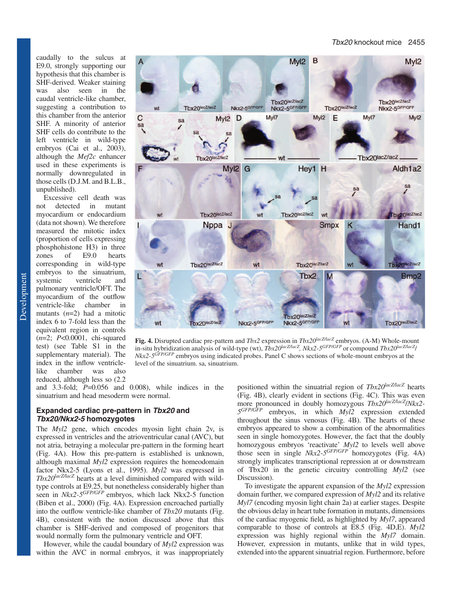caudally to the sulcus at E9.0, strongly supporting our hypothesis that this chamber is SHF-derived. Weaker staining was also seen in the caudal ventricle-like chamber, suggesting a contribution to this chamber from the anterior SHF. A minority of anterior SHF cells do contribute to the left ventricle in wild-type embryos (Cai et al., 2003), although the *Mef2c* enhancer used in these experiments is normally downregulated in those cells (D.J.M. and B.L.B., unpublished).

Excessive cell death was not detected in mutant myocardium or endocardium (data not shown). We therefore measured the mitotic index (proportion of cells expressing phosphohistone H3) in three<br>zones of E9.0 hearts zones of E9.0 hearts corresponding in wild-type embryos to the sinuatrium, systemic ventricle and pulmonary ventricle/OFT. The myocardium of the outflow<br>ventricle-like chamber in ventricle-like chamber in mutants (*n*=2) had a mitotic index 6 to 7-fold less than the equivalent region in controls (*n*=2; *P*<0.0001, chi-squared test) (see Table S1 in the supplementary material). The index in the inflow ventriclelike chamber was also reduced, although less so (2.2



**Fig. 4.** Disrupted cardiac pre-pattern and *Tbx2* expression in *Tbx20lacZ/lacZ* embryos. (A-M) Whole-mount in-situ hybridization analysis of wild-type (wt), *Tbx20lacZ/lacZ, Nkx2-5GFP/GFP* or compound *Tbx20lacZ/lacZ*/ *Nkx2-5GFP/GFP* embryos using indicated probes. Panel C shows sections of whole-mount embryos at the level of the sinuatrium. sa, sinuatrium.

and 3.3-fold; *P*=0.056 and 0.008), while indices in the sinuatrium and head mesoderm were normal.

## **Expanded cardiac pre-pattern in Tbx20 and Tbx20/Nkx2-5 homozygotes**

The *Myl2* gene, which encodes myosin light chain 2v, is expressed in ventricles and the atrioventricular canal (AVC), but not atria, betraying a molecular pre-pattern in the forming heart (Fig. 4A). How this pre-pattern is established is unknown, although maximal *Myl2* expression requires the homeodomain factor Nkx2-5 (Lyons et al., 1995). *Myl2* was expressed in *Tbx20lacZ/lacZ* hearts at a level diminished compared with wildtype controls at E9.25, but nonetheless considerably higher than seen in *Nkx2-5<sup>GFP/GFP</sup>* embryos, which lack Nkx2-5 function (Biben et al., 2000) (Fig. 4A). Expression encroached partially into the outflow ventricle-like chamber of *Tbx20* mutants (Fig. 4B), consistent with the notion discussed above that this chamber is SHF-derived and composed of progenitors that would normally form the pulmonary ventricle and OFT.

However, while the caudal boundary of *Myl2* expression was within the AVC in normal embryos, it was inappropriately positioned within the sinuatrial region of *Tbx20lacZ/lacZ* hearts (Fig. 4B), clearly evident in sections (Fig. 4C). This was even more pronounced in doubly homozygous *Tbx20lacZ/lacZ*/*Nkx2- 5GFP/GFP* embryos, in which *Myl2* expression extended throughout the sinus venosus (Fig. 4B). The hearts of these embryos appeared to show a combination of the abnormalities seen in single homozygotes. However, the fact that the doubly homozygous embryos 'reactivate' *Myl2* to levels well above those seen in single *Nkx2-5GFP/GFP* homozygotes (Fig. 4A) strongly implicates transcriptional repression at or downstream of Tbx20 in the genetic circuitry controlling *Myl2* (see Discussion).

To investigate the apparent expansion of the *Myl2* expression domain further, we compared expression of *Myl2* and its relative *Myl7* (encoding myosin light chain 2a) at earlier stages. Despite the obvious delay in heart tube formation in mutants, dimensions of the cardiac myogenic field, as highlighted by *Myl7*, appeared comparable to those of controls at E8.5 (Fig. 4D,E). *Myl2* expression was highly regional within the *Myl7* domain. However, expression in mutants, unlike that in wild types, extended into the apparent sinuatrial region. Furthermore, before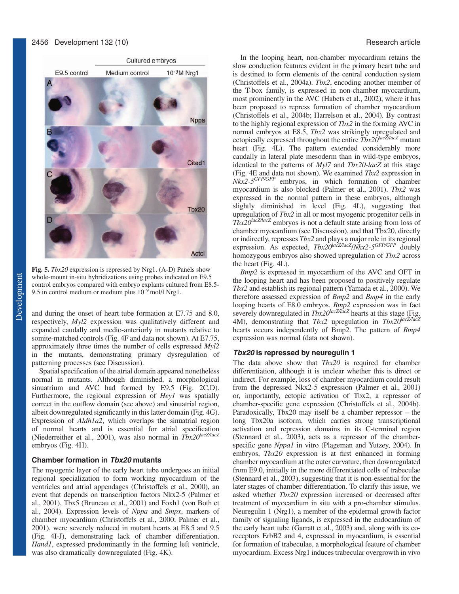

**Fig. 5.** *Tbx20* expression is repressed by Nrg1. (A-D) Panels show whole-mount in-situ hybridizations using probes indicated on E9.5 control embryos compared with embryo explants cultured from E8.5- 9.5 in control medium or medium plus  $10^{-9}$  mol/l Nrg1.

and during the onset of heart tube formation at E7.75 and 8.0, respectively, *Myl2* expression was qualitatively different and expanded caudally and medio-anteriorly in mutants relative to somite-matched controls (Fig. 4F and data not shown). At E7.75, approximately three times the number of cells expressed *Myl2* in the mutants, demonstrating primary dysregulation of patterning processes (see Discussion).

Spatial specification of the atrial domain appeared nonetheless normal in mutants. Although diminished, a morphological sinuatrium and AVC had formed by E9.5 (Fig. 2C,D). Furthermore, the regional expression of *Hey1* was spatially correct in the outflow domain (see above) and sinuatrial region, albeit downregulated significantly in this latter domain (Fig. 4G). Expression of *Aldh1a2*, which overlaps the sinuatrial region of normal hearts and is essential for atrial specification (Niederreither et al., 2001), was also normal in *Tbx20lacZ/lacZ* embryos (Fig. 4H).

#### **Chamber formation in Tbx20 mutants**

The myogenic layer of the early heart tube undergoes an initial regional specialization to form working myocardium of the ventricles and atrial appendages (Christoffels et al., 2000), an event that depends on transcription factors Nkx2-5 (Palmer et al., 2001), Tbx5 (Bruneau et al., 2001) and Foxh1 (von Both et al., 2004). Expression levels of *Nppa* and *Smpx*, markers of chamber myocardium (Christoffels et al., 2000; Palmer et al., 2001), were severely reduced in mutant hearts at E8.5 and 9.5 (Fig. 4I-J), demonstrating lack of chamber differentiation. *Hand1*, expressed predominantly in the forming left ventricle, was also dramatically downregulated (Fig. 4K).

In the looping heart, non-chamber myocardium retains the slow conduction features evident in the primary heart tube and is destined to form elements of the central conduction system (Christoffels et al., 2004a). *Tbx2*, encoding another member of the T-box family, is expressed in non-chamber myocardium, most prominently in the AVC (Habets et al., 2002), where it has been proposed to repress formation of chamber myocardium (Christoffels et al., 2004b; Harrelson et al., 2004). By contrast to the highly regional expression of *Tbx2* in the forming AVC in normal embryos at E8.5, *Tbx2* was strikingly upregulated and ectopically expressed throughout the entire *Tbx20lacZ/lacZ* mutant heart (Fig. 4L). The pattern extended considerably more caudally in lateral plate mesoderm than in wild-type embryos, identical to the patterns of *Myl7* and *Tbx20-lacZ* at this stage (Fig. 4E and data not shown). We examined *Tbx2* expression in *Nkx2-5GFP/GFP* embryos, in which formation of chamber myocardium is also blocked (Palmer et al., 2001). *Tbx2* was expressed in the normal pattern in these embryos, although slightly diminished in level (Fig. 4L), suggesting that upregulation of *Tbx2* in all or most myogenic progenitor cells in *Tbx20lacZ/lacZ* embryos is not a default state arising from loss of chamber myocardium (see Discussion), and that Tbx20, directly or indirectly, represses *Tbx2* and plays a major role in its regional expression. As expected, *Tbx20lacZ/lacZ*/*Nkx2-5GFP/GFP* doubly homozygous embryos also showed upregulation of *Tbx2* across the heart (Fig. 4L).

*Bmp2* is expressed in myocardium of the AVC and OFT in the looping heart and has been proposed to positively regulate *Tbx2* and establish its regional pattern (Yamada et al., 2000). We therefore assessed expression of *Bmp2* and *Bmp4* in the early looping hearts of E8.0 embryos. *Bmp2* expression was in fact severely downregulated in *Tbx20<sup>lacZ/lacZ</sup>* hearts at this stage (Fig. 4M), demonstrating that *Tbx2* upregulation in *Tbx20<sup>lacZ/lacZ</sup>* hearts occurs independently of Bmp2. The pattern of *Bmp4* expression was normal (data not shown).

## **Tbx20 is repressed by neuregulin 1**

The data above show that *Tbx20* is required for chamber differentiation, although it is unclear whether this is direct or indirect. For example, loss of chamber myocardium could result from the depressed Nkx2-5 expression (Palmer et al., 2001) or, importantly, ectopic activation of Tbx2, a repressor of chamber-specific gene expression (Christoffels et al., 2004b). Paradoxically, Tbx20 may itself be a chamber repressor – the long Tbx20a isoform, which carries strong transcriptional activation and repression domains in its C-terminal region (Stennard et al., 2003), acts as a repressor of the chamberspecific gene *Nppa1* in vitro (Plageman and Yutzey, 2004). In embryos, *Tbx20* expression is at first enhanced in forming chamber myocardium at the outer curvature, then downregulated from E9.0, initially in the more differentiated cells of trabeculae (Stennard et al., 2003), suggesting that it is non-essential for the later stages of chamber differentiation. To clarify this issue, we asked whether *Tbx20* expression increased or decreased after treatment of myocardium in situ with a pro-chamber stimulus. Neuregulin 1 (Nrg1), a member of the epidermal growth factor family of signaling ligands, is expressed in the endocardium of the early heart tube (Garratt et al., 2003) and, along with its coreceptors ErbB2 and 4, expressed in myocardium, is essential for formation of trabeculae, a morphological feature of chamber myocardium. Excess Nrg1 induces trabecular overgrowth in vivo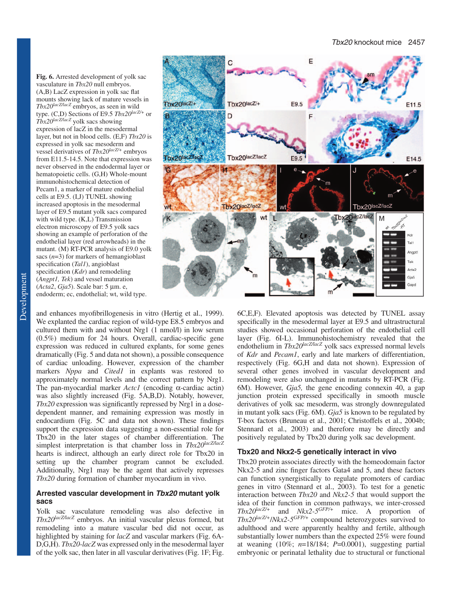**Fig. 6.** Arrested development of yolk sac vasculature in *Tbx20* null embryos. (A,B) LacZ expression in yolk sac flat mounts showing lack of mature vessels in *Tbx20lacZ/lacZ* embryos, as seen in wild type. (C,D) Sections of E9.5 *Tbx20lacZ/+* or *Tbx20lacZ/lacZ* yolk sacs showing expression of lacZ in the mesodermal layer, but not in blood cells. (E,F) *Tbx20* is expressed in yolk sac mesoderm and vessel derivatives of *Tbx20lacZ/+* embryos from E11.5-14.5. Note that expression was never observed in the endodermal layer or hematopoietic cells. (G,H) Whole-mount immunohistochemical detection of Pecam1, a marker of mature endothelial cells at E9.5. (I,J) TUNEL showing increased apoptosis in the mesodermal layer of E9.5 mutant yolk sacs compared with wild type. (K,L) Transmission electron microscopy of E9.5 yolk sacs showing an example of perforation of the endothelial layer (red arrowheads) in the mutant. (M) RT-PCR analysis of E9.0 yolk sacs (*n*=3) for markers of hemangioblast specification (*Tal1*), angioblast specification (*Kdr*) and remodeling (*Angpt1, Tek*) and vessel maturation (*Acta2*, *Gja5*). Scale bar: 5 µm. e, endoderm; ec, endothelial; wt, wild type.

and enhances myofibrillogenesis in vitro (Hertig et al., 1999). We explanted the cardiac region of wild-type E8.5 embryos and cultured them with and without Nrg1 (1 nmol/l) in low serum (0.5%) medium for 24 hours. Overall, cardiac-specific gene expression was reduced in cultured explants, for some genes dramatically (Fig. 5 and data not shown), a possible consequence of cardiac unloading. However, expression of the chamber markers *Nppa* and *Cited1* in explants was restored to approximately normal levels and the correct pattern by Nrg1. The pan-myocardial marker *Actc1* (encoding α-cardiac actin) was also slightly increased (Fig. 5A,B,D). Notably, however, *Tbx20* expression was significantly repressed by Nrg1 in a dosedependent manner, and remaining expression was mostly in endocardium (Fig. 5C and data not shown). These findings support the expression data suggesting a non-essential role for Tbx20 in the later stages of chamber differentiation. The simplest interpretation is that chamber loss in  $Tbx20^{lacZlacZ}$ hearts is indirect, although an early direct role for Tbx20 in setting up the chamber program cannot be excluded. Additionally, Nrg1 may be the agent that actively represses *Tbx20* during formation of chamber myocardium in vivo.

## **Arrested vascular development in Tbx20 mutant yolk sacs**

Yolk sac vasculature remodeling was also defective in *Tbx20lacZ/lacZ* embryos. An initial vascular plexus formed, but remodeling into a mature vascular bed did not occur, as highlighted by staining for *lacZ* and vascular markers (Fig. 6A-D,G,H). *Tbx20-lacZ* was expressed only in the mesodermal layer of the yolk sac, then later in all vascular derivatives (Fig. 1F; Fig.



6C,E,F). Elevated apoptosis was detected by TUNEL assay specifically in the mesodermal layer at E9.5 and ultrastructural studies showed occasional perforation of the endothelial cell layer (Fig. 6I-L). Immunohistochemistry revealed that the endothelium in *Tbx20<sup>lacZ/lacZ</sup>* yolk sacs expressed normal levels of *Kdr* and *Pecam1*, early and late markers of differentiation, respectively (Fig. 6G,H and data not shown). Expression of several other genes involved in vascular development and remodeling were also unchanged in mutants by RT-PCR (Fig. 6M). However, *Gja5,* the gene encoding connexin 40, a gap junction protein expressed specifically in smooth muscle derivatives of yolk sac mesoderm, was strongly downregulated in mutant yolk sacs (Fig. 6M). *Gja5* is known to be regulated by T-box factors (Bruneau et al., 2001; Christoffels et al., 2004b; Stennard et al., 2003) and therefore may be directly and positively regulated by Tbx20 during yolk sac development.

## **Tbx20 and Nkx2-5 genetically interact in vivo**

Tbx20 protein associates directly with the homeodomain factor Nkx2-5 and zinc finger factors Gata4 and 5, and these factors can function synergistically to regulate promoters of cardiac genes in vitro (Stennard et al., 2003). To test for a genetic interaction between *Tbx20* and *Nkx2-5* that would support the idea of their function in common pathways, we inter-crossed *Tbx20lacZ/+* and *Nkx2-5GFP/+* mice. A proportion of *Tbx20lacZ/+*/*Nkx2-5GFP/+* compound heterozygotes survived to adulthood and were apparently healthy and fertile, although substantially lower numbers than the expected 25% were found at weaning (10%; *n*=18/184; *P*=0.0001), suggesting partial embryonic or perinatal lethality due to structural or functional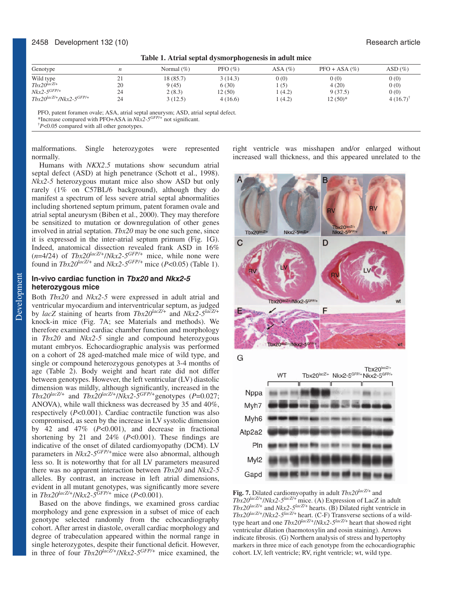## 2458 Development 132 (10) Research article

| Table 1. Atrial septal dysmorphogenesis in adult mice |  |  |  |
|-------------------------------------------------------|--|--|--|
|-------------------------------------------------------|--|--|--|

| Genotype                                  |    | Normal $(\% )$ | PFO $(\% )$ | $ASA(\%)$ | $PFO + ASA$ (%) | $ASD(\%)$           |
|-------------------------------------------|----|----------------|-------------|-----------|-----------------|---------------------|
| Wild type                                 | ∠⊥ | 18(85.7)       | 3(14.3)     | 0(0)      | 0(0)            | 0(0)                |
| $Tbx20^{\frac{lacZ}{+}}$                  | 20 | 9(45)          | 6(30)       | (5)       | 4(20)           | 0(0)                |
| $Nkx2$ -5 $GFP$ /+                        | 24 | 2(8.3)         | 12 (50)     | (4.2)     | 9(37.5)         | 0(0)                |
| $Tbx20^{lacZ/+}$ /Nkx2-5 <sup>GFP/+</sup> | 24 | 3(12.5)        | 4(16.6)     | 1(4.2)    | $12(50)*$       | $4(16.7)^{\dagger}$ |

PFO, patent foramen ovale; ASA, atrial septal aneurysm; ASD, atrial septal defect.

\*Increase compared with PFO+ASA in *Nkx2-5GFP/+* not significant.

† *P*<0.05 compared with all other genotypes.

malformations. Single heterozygotes were represented normally.

Humans with *NKX2*.*5* mutations show secundum atrial septal defect (ASD) at high penetrance (Schott et al., 1998). *Nkx2-5* heterozygous mutant mice also show ASD but only rarely (1% on C57BL/6 background), although they do manifest a spectrum of less severe atrial septal abnormalities including shortened septum primum, patent foramen ovale and atrial septal aneurysm (Biben et al., 2000). They may therefore be sensitized to mutation or downregulation of other genes involved in atrial septation. *Tbx20* may be one such gene, since it is expressed in the inter-atrial septum primum (Fig. 1G). Indeed, anatomical dissection revealed frank ASD in 16%  $(n=4/24)$  of  $Tbx20^{lacZ+}/Nkx2-5^{GFP/+}}$  mice, while none were found in  $Tbx20^{lacZ/+}$  and  $Nkx2-5^{GFP/+}$  mice ( $P<0.05$ ) (Table 1).

## **In-vivo cardiac function in Tbx20 and Nkx2-5 heterozygous mice**

Both *Tbx20* and *Nkx2-5* were expressed in adult atrial and ventricular myocardium and interventricular septum, as judged by *lacZ* staining of hearts from *Tbx20lacZ/+* and *Nkx2-5lacZ/+* knock-in mice (Fig. 7A; see Materials and methods). We therefore examined cardiac chamber function and morphology in *Tbx20* and *Nkx2-5* single and compound heterozygous mutant embryos. Echocardiographic analysis was performed on a cohort of 28 aged-matched male mice of wild type, and single or compound heterozygous genotypes at 3-4 months of age (Table 2). Body weight and heart rate did not differ between genotypes. However, the left ventricular (LV) diastolic dimension was mildly, although significantly, increased in the  $Tbx20^{lacZ/+}$  and  $Tbx20^{lacZ/+}/Nkx2-5^{GFP/+}$ genotypes (*P*=0.027; ANOVA), while wall thickness was decreased by 35 and 40%, respectively (*P*<0.001). Cardiac contractile function was also compromised, as seen by the increase in LV systolic dimension by 42 and 47% (*P*<0.001), and decrease in fractional shortening by 21 and 24% (*P*<0.001). These findings are indicative of the onset of dilated cardiomyopathy (DCM). LV parameters in *Nkx2-5GFP/+*mice were also abnormal, although less so. It is noteworthy that for all LV parameters measured there was no apparent interaction between *Tbx20* and *Nkx2-5* alleles. By contrast, an increase in left atrial dimensions, evident in all mutant genotypes, was significantly more severe in *Tbx20lacZ/+*/*Nkx2-5GFP/+* mice (*P*<0.001).

Based on the above findings, we examined gross cardiac morphology and gene expression in a subset of mice of each genotype selected randomly from the echocardiography cohort. After arrest in diastole, overall cardiac morphology and degree of trabeculation appeared within the normal range in single heterozygotes, despite their functional deficit. However, in three of four *Tbx20lacZ/+*/*Nkx2-5GFP/+* mice examined, the right ventricle was misshapen and/or enlarged without increased wall thickness, and this appeared unrelated to the



**Fig. 7.** Dilated cardiomyopathy in adult *Tbx20lacZ/+* and *Tbx20lacZ/+*/*Nkx2-5lacZ/+* mice. (A) Expression of LacZ in adult  $Tbx20^{lacZ+}$  and  $Nkx2-5^{lacZ+}$  hearts. (B) Dilated right ventricle in *Tbx20lacZ/+*/*Nkx2-5lacZ/+* heart. (C-F) Transverse sections of a wildtype heart and one *Tbx20lacZ/+*/*Nkx2-5lacZ/+* heart that showed right ventricular dilation (haemotoxylin and eosin staining). Arrows indicate fibrosis. (G) Northern analysis of stress and hypertophy markers in three mice of each genotype from the echocardiographic cohort. LV, left ventricle; RV, right ventricle; wt, wild type.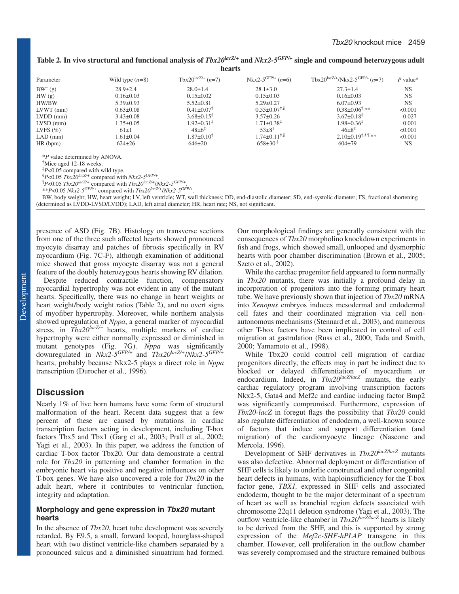| Table 2. In vivo structural and functional analysis of $Tbx20^{lacZ/+}$ and $Nkx2-5^{GFP/+}$ single and compound heterozygous adult |  |
|-------------------------------------------------------------------------------------------------------------------------------------|--|
| hearts                                                                                                                              |  |

| Parameter                            | Wild type $(n=8)$ | Tbx20 <sup>lacZ/+</sup> $(n=7)$ | Nkx2-5 <sup>GFP/+</sup> $(n=6)$ | $Tbx20^{\text{lacZ}/+}/\text{Nkx2-5}^{\text{GFP}/+}$ (n=7) | $P$ value* |
|--------------------------------------|-------------------|---------------------------------|---------------------------------|------------------------------------------------------------|------------|
| $BW^{\dagger}(g)$                    | $28.9 \pm 2.4$    | $28.0 \pm 1.4$                  | $28.1 \pm 3.0$                  | $27.3 \pm 1.4$                                             | <b>NS</b>  |
| HW(g)                                | $0.16 \pm 0.03$   | $0.15 \pm 0.02$                 | $0.15 \pm 0.03$                 | $0.16 \pm 0.03$                                            | <b>NS</b>  |
| HW/BW                                | $5.39 \pm 0.93$   | $5.52 \pm 0.81$                 | $5.29 \pm 0.27$                 | $6.07 \pm 0.93$                                            | <b>NS</b>  |
| $L VWT$ (mm)                         | $0.63 \pm 0.08$   | $0.41 \pm 0.07^*$               | $0.55 \pm 0.07$ <sup>**</sup>   | $0.38 \pm 0.06^{\ddagger,\ast\ast}$                        | < 0.001    |
| $LVDD$ (mm)                          | $3.43 \pm 0.08$   | $3.68 \pm 0.15$ <sup>#</sup>    | $3.57 \pm 0.26$                 | $3.67 \pm 0.18^{\ddagger}$                                 | 0.027      |
| $LVSD$ (mm)                          | $1.35 \pm 0.05$   | $1.92 \pm 0.31^*$               | $1.71 \pm 0.38^{\ddagger}$      | $1.98 \pm 0.36^{\ddagger}$                                 | 0.001      |
| LVFS $(\% )$                         | $61\pm1$          | $48 \pm 6^{\ddagger}$           | $53\pm8^{\ddagger}$             | $46\pm8^{\ddagger}$                                        | < 0.001    |
| $LAD$ (mm)                           | $1.61 \pm 0.04$   | $1.87 \pm 0.10^{\ddagger}$      | $1.74 \pm 0.11^{*,\$}$          | $2.10 \pm 0.19^{\ddagger,\S,\P,**}$                        | < 0.001    |
| HR(bpm)                              | $624 \pm 26$      | $646 \pm 20$                    | $658 \pm 30^{\frac{4}{5}}$      | $604 \pm 79$                                               | <b>NS</b>  |
| <i>*P</i> value determined by ANOVA. |                   |                                 |                                 |                                                            |            |
| "Mice aged 12-18 weeks.              |                   |                                 |                                 |                                                            |            |
| ÷_ _ _                               |                   |                                 |                                 |                                                            |            |

‡ *P*<0.05 compared with wild type.

§ *<sup>P</sup>*<0.05 *Tbx20lacZ/+* compared with *Nkx2-5GFP/+*. ¶ *P*<br>*P*<0.05 *Tbx20<sup>lacZ/+</sup>* compared with *Tbx20<sup>lacZ/+</sup>/Nkx2-5<sup>GFP/+</sup>*.

\*\**P*<0.05 *Nkx2-5GFP/+* compared with *Tbx20lacZ/+*/*Nkx2-5GFP/+*.

BW, body weight; HW, heart weight; LV, left ventricle; WT, wall thickness; DD, end-diastolic diameter; SD, end-systolic diameter; FS, fractional shortening (determined as LVDD-LVSD/LVDD); LAD, left atrial diameter; HR, heart rate; NS, not significant.

presence of ASD (Fig. 7B). Histology on transverse sections from one of the three such affected hearts showed pronounced myocyte disarray and patches of fibrosis specifically in RV myocardium (Fig. 7C-F), although examination of additional mice showed that gross myocyte disarray was not a general feature of the doubly heterozygous hearts showing RV dilation.

Despite reduced contractile function, compensatory myocardial hypertrophy was not evident in any of the mutant hearts. Specifically, there was no change in heart weights or heart weight/body weight ratios (Table 2), and no overt signs of myofiber hypertrophy. Moreover, while northern analysis showed upregulation of *Nppa*, a general marker of myocardial stress, in  $Tbx20^{lacZ+}$  hearts, multiple markers of cardiac hypertrophy were either normally expressed or diminished in mutant genotypes (Fig. 7G). *Nppa* was significantly downregulated in *Nkx2-5GFP/+* and *Tbx20lacZ/+*/*Nkx2-5GFP/+* hearts, probably because Nkx2-5 plays a direct role in *Nppa* transcription (Durocher et al., 1996).

# **Discussion**

Nearly 1% of live born humans have some form of structural malformation of the heart. Recent data suggest that a few percent of these are caused by mutations in cardiac transcription factors acting in development, including T-box factors Tbx5 and Tbx1 (Garg et al., 2003; Prall et al., 2002; Yagi et al., 2003). In this paper, we address the function of cardiac T-box factor Tbx20. Our data demonstrate a central role for *Tbx20* in patterning and chamber formation in the embryonic heart via positive and negative influences on other T-box genes. We have also uncovered a role for *Tbx20* in the adult heart, where it contributes to ventricular function, integrity and adaptation.

## **Morphology and gene expression in Tbx20 mutant hearts**

In the absence of *Tbx20*, heart tube development was severely retarded. By E9.5, a small, forward looped, hourglass-shaped heart with two distinct ventricle-like chambers separated by a pronounced sulcus and a diminished sinuatrium had formed. Our morphological findings are generally consistent with the consequences of *Tbx20* morpholino knockdown experiments in fish and frogs, which showed small, unlooped and dysmorphic hearts with poor chamber discrimination (Brown et al., 2005; Szeto et al., 2002).

While the cardiac progenitor field appeared to form normally in *Tbx20* mutants, there was initially a profound delay in incorporation of progenitors into the forming primary heart tube. We have previously shown that injection of *Tbx20* mRNA into *Xenopus* embryos induces mesodermal and endodermal cell fates and their coordinated migration via cell nonautonomous mechanisms (Stennard et al., 2003), and numerous other T-box factors have been implicated in control of cell migration at gastrulation (Russ et al., 2000; Tada and Smith, 2000; Yamamoto et al., 1998).

While Tbx20 could control cell migration of cardiac progenitors directly, the effects may in part be indirect due to blocked or delayed differentiation of myocardium or endocardium. Indeed, in *Tbx20<sup>lacZ/lacZ</sup>* mutants, the early cardiac regulatory program involving transcription factors Nkx2-5, Gata4 and Mef2c and cardiac inducing factor Bmp2 was significantly compromised. Furthermore, expression of *Tbx20-lacZ* in foregut flags the possibility that *Tbx20* could also regulate differentiation of endoderm, a well-known source of factors that induce and support differentiation (and migration) of the cardiomyocyte lineage (Nascone and Mercola, 1996).

Development of SHF derivatives in *Tbx20lacZ/lacZ* mutants was also defective. Abnormal deployment or differentiation of SHF cells is likely to underlie conotruncal and other congenital heart defects in humans, with haploinsufficiency for the T-box factor gene, *TBX1,* expressed in SHF cells and associated endoderm, thought to be the major determinant of a spectrum of heart as well as branchial region defects associated with chromosome 22q11 deletion syndrome (Yagi et al., 2003). The outflow ventricle-like chamber in *Tbx20lacZ/lacZ* hearts is likely to be derived from the SHF, and this is supported by strong expression of the *Mef2c-SHF-hPLAP* transgene in this chamber. However, cell proliferation in the outflow chamber was severely compromised and the structure remained bulbous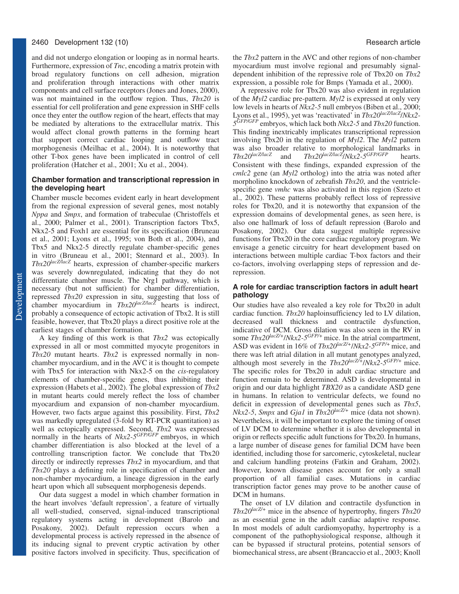## 2460 Development 132 (10) Research article

and did not undergo elongation or looping as in normal hearts. Furthermore, expression of *Tnc*, encoding a matrix protein with broad regulatory functions on cell adhesion, migration and proliferation through interactions with other matrix components and cell surface receptors (Jones and Jones, 2000), was not maintained in the outflow region. Thus, *Tbx20* is essential for cell proliferation and gene expression in SHF cells once they enter the outflow region of the heart, effects that may be mediated by alterations to the extracellular matrix. This would affect clonal growth patterns in the forming heart that support correct cardiac looping and outflow tract morphogenesis (Meilhac et al., 2004). It is noteworthy that other T-box genes have been implicated in control of cell proliferation (Hatcher et al., 2001; Xu et al., 2004).

## **Chamber formation and transcriptional repression in the developing heart**

Chamber muscle becomes evident early in heart development from the regional expression of several genes, most notably *Nppa* and *Smpx*, and formation of trabeculae (Christoffels et al., 2000; Palmer et al., 2001). Transcription factors Tbx5, Nkx2-5 and Foxh1 are essential for its specification (Bruneau et al., 2001; Lyons et al., 1995; von Both et al., 2004), and Tbx5 and Nkx2-5 directly regulate chamber-specific genes in vitro (Bruneau et al., 2001; Stennard et al., 2003). In *Tbx20lacZ/lacZ* hearts, expression of chamber-specific markers was severely downregulated, indicating that they do not differentiate chamber muscle. The Nrg1 pathway, which is necessary (but not sufficient) for chamber differentiation, repressed *Tbx20* expression in situ, suggesting that loss of chamber myocardium in *Tbx20lacZ/lacZ* hearts is indirect, probably a consequence of ectopic activation of Tbx2. It is still feasible, however, that Tbx20 plays a direct positive role at the earliest stages of chamber formation.

A key finding of this work is that *Tbx2* was ectopically expressed in all or most committed myocyte progenitors in *Tbx20* mutant hearts. *Tbx2* is expressed normally in nonchamber myocardium, and in the AVC it is thought to compete with Tbx5 for interaction with Nkx2-5 on the *cis*-regulatory elements of chamber-specific genes, thus inhibiting their expression (Habets et al., 2002). The global expression of *Tbx2* in mutant hearts could merely reflect the loss of chamber myocardium and expansion of non-chamber myocardium. However, two facts argue against this possibility. First, *Tbx2* was markedly upregulated (3-fold by RT-PCR quantitation) as well as ectopically expressed. Second, *Tbx2* was expressed normally in the hearts of *Nkx2-5GFP/GFP* embryos, in which chamber differentiation is also blocked at the level of a controlling transcription factor. We conclude that Tbx20 directly or indirectly represses *Tbx2* in myocardium, and that *Tbx20* plays a defining role in specification of chamber and non-chamber myocardium, a lineage digression in the early heart upon which all subsequent morphogenesis depends.

Our data suggest a model in which chamber formation in the heart involves 'default repression', a feature of virtually all well-studied, conserved, signal-induced transcriptional regulatory systems acting in development (Barolo and Posakony, 2002). Default repression occurs when a developmental process is actively repressed in the absence of its inducing signal to prevent cryptic activation by other positive factors involved in specificity. Thus, specification of the *Tbx2* pattern in the AVC and other regions of non-chamber myocardium must involve regional and presumably signaldependent inhibition of the repressive role of Tbx20 on *Tbx2* expression, a possible role for Bmps (Yamada et al., 2000).

A repressive role for Tbx20 was also evident in regulation of the *Myl2* cardiac pre-pattern. *Myl2* is expressed at only very low levels in hearts of *Nkx2-5* null embryos (Biben et al., 2000; Lyons et al., 1995), yet was 'reactivated' in *Tbx20lacZ/lacZ*/*Nkx2- 5GFP/GFP* embryos, which lack both *Nkx2-5* and *Tbx20* function. This finding inextricably implicates transcriptional repression involving Tbx20 in the regulation of *Myl2*. The *Myl2* pattern was also broader relative to morphological landmarks in  $Tbx20^{lacZ/lacZ}$  and  $Tbx20^{lacZ/lacZ/NAx2-5GFP/GFP}$  hearts.  $Tbx20^{lacZ/lacZ} / Nkx2.5$ GFP/GFP hearts. Consistent with these findings, expanded expression of the *cmlc2* gene (an *Myl2* ortholog) into the atria was noted after morpholino knockdown of zebrafish *Tbx20*, and the ventriclespecific gene *vmhc* was also activated in this region (Szeto et al., 2002). These patterns probably reflect loss of repressive roles for Tbx20, and it is noteworthy that expansion of the expression domains of developmental genes, as seen here, is also one hallmark of loss of default repression (Barolo and Posakony, 2002). Our data suggest multiple repressive functions for Tbx20 in the core cardiac regulatory program. We envisage a genetic circuitry for heart development based on interactions between multiple cardiac T-box factors and their co-factors, involving overlapping steps of repression and derepression.

## **A role for cardiac transcription factors in adult heart pathology**

Our studies have also revealed a key role for Tbx20 in adult cardiac function. *Tbx20* haploinsufficiency led to LV dilation, decreased wall thickness and contractile dysfunction, indicative of DCM. Gross dilation was also seen in the RV in some *Tbx20lacZ/+*/*Nkx2-5GFP/+* mice. In the atrial compartment, ASD was evident in 16% of *Tbx20lacZ/+*/*Nkx2-5GFP/+* mice, and there was left atrial dilation in all mutant genotypes analyzed, although most severely in the *Tbx20lacZ/+*/*Nkx2-5GFP/+* mice. The specific roles for Tbx20 in adult cardiac structure and function remain to be determined. ASD is developmental in origin and our data highlight *TBX20* as a candidate ASD gene in humans. In relation to ventricular defects, we found no deficit in expression of developmental genes such as *Tbx5*, *Nkx2-5*, *Smpx* and *Gja1* in *Tbx20lacZ/+* mice (data not shown). Nevertheless, it will be important to explore the timing of onset of LV DCM to determine whether it is also developmental in origin or reflects specific adult functions for Tbx20. In humans, a large number of disease genes for familial DCM have been identified, including those for sarcomeric, cytoskeletal, nuclear and calcium handling proteins (Fatkin and Graham, 2002). However, known disease genes account for only a small proportion of all familial cases. Mutations in cardiac transcription factor genes may prove to be another cause of DCM in humans.

The onset of LV dilation and contractile dysfunction in *Tbx20lacZ/+* mice in the absence of hypertrophy, fingers *Tbx20* as an essential gene in the adult cardiac adaptive response. In most models of adult cardiomyopathy, hypertrophy is a component of the pathophysiological response, although it can be bypassed if structural proteins, potential sensors of biomechanical stress, are absent (Brancaccio et al., 2003; Knoll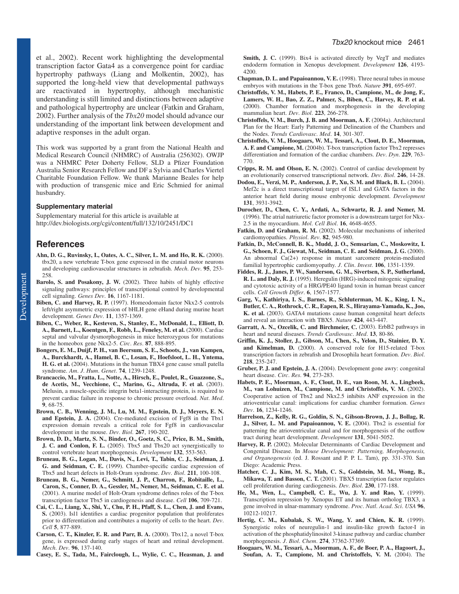et al., 2002). Recent work highlighting the developmental transcription factor Gata4 as a convergence point for cardiac hypertrophy pathways (Liang and Molkentin, 2002), has supported the long-held view that developmental pathways are reactivated in hypertrophy, although mechanistic understanding is still limited and distinctions between adaptive and pathological hypertrophy are unclear (Fatkin and Graham, 2002). Further analysis of the *Tbx20* model should advance our understanding of the important link between development and adaptive responses in the adult organ.

This work was supported by a grant from the National Health and Medical Research Council (NHMRC) of Australia (256302). OWJP was a NHMRC Peter Doherty Fellow, SLD a Pfizer Foundation Australia Senior Research Fellow and DF a Sylvia and Charles Viertel Charitable Foundation Fellow. We thank Marianne Beales for help with production of transgenic mice and Eric Schmied for animal husbandry.

## **Supplementary material**

Supplementary material for this article is available at http://dev.biologists.org/cgi/content/full/132/10/2451/DC1

# **References**

- **Ahn, D. G., Ruvinsky, I., Oates, A. C., Silver, L. M. and Ho, R. K.** (2000). tbx20, a new vertebrate T-box gene expressed in the cranial motor neurons and developing cardiovascular structures in zebrafish. *Mech*. *Dev*. **95**, 253- 258
- **Barolo, S. and Posakony, J. W.** (2002). Three habits of highly effective signaling pathways: principles of transcriptional control by developmental cell signaling. *Genes Dev*. **16**, 1167-1181.
- **Biben, C. and Harvey, R. P.** (1997). Homeodomain factor Nkx2-5 controls left/right asymmetric expression of bHLH gene eHand during murine heart development. *Genes Dev*. **11**, 1357-1369.
- **Biben, C., Weber, R., Kesteven, S., Stanley, E., McDonald, L., Elliott, D.** A., Barnett, L., Koentgen, F., Robb, L., Feneley, M. et al. (2000). Cardiac septal and valvular dysmorphogenesis in mice heterozygous for mutations in the homeobox gene Nkx2-5. *Circ*. *Res*. **87**, 888-895.
- **Bongers, E. M., Duijf, P. H., van Beersum, S. E., Schoots, J., van Kampen, A., Burckhardt, A., Hamel, B. C., Losan, F., Hoefsloot, L. H., Yntema, H. G. et al.** (2004). Mutations in the human TBX4 gene cause small patella syndrome. *Am*. *J*. *Hum*. *Genet*. **74**, 1239-1248.
- **Brancaccio, M., Fratta, L., Notte, A., Hirsch, E., Poulet, R., Guazzone, S., de Acetis, M., Vecchione, C., Marino, G., Altruda, F. et al.** (2003). Melusin, a muscle-specific integrin beta1-interacting protein, is required to prevent cardiac failure in response to chronic pressure overload. *Nat*. *Med*. **9**, 68-75.
- **Brown, C. B., Wenning, J. M., Lu, M. M., Epstein, D. J., Meyers, E. N. and Epstein, J. A.** (2004). Cre-mediated excision of Fgf8 in the Tbx1 expression domain reveals a critical role for Fgf8 in cardiovascular development in the mouse. *Dev*. *Biol*. **267**, 190-202.
- **Brown, D. D., Martz, S. N., Binder, O., Goetz, S. C., Price, B. M., Smith, J. C. and Conlon, F. L.** (2005). Tbx5 and Tbx20 act synergistically to control vertebrate heart morphogenesis. *Development* **132**, 553-563.
- **Bruneau, B. G., Logan, M., Davis, N., Levi, T., Tabin, C. J., Seidman, J. G. and Seidman, C. E.** (1999). Chamber-specific cardiac expression of Tbx5 and heart defects in Holt-Oram syndrome. *Dev*. *Biol*. **211**, 100-108.
- **Bruneau, B. G., Nemer, G., Schmitt, J. P., Charron, F., Robitaille, L., Caron, S., Conner, D. A., Gessler, M., Nemer, M., Seidman, C. E. et al.** (2001). A murine model of Holt-Oram syndrome defines roles of the T-box transcription factor Tbx5 in cardiogenesis and disease. *Cell* **106**, 709-721.
- **Cai, C. L., Liang, X., Shi, Y., Chu, P. H., Pfaff, S. L., Chen, J. and Evans, S.** (2003). Isl1 identifies a cardiac progenitor population that proliferates prior to differentiation and contributes a majority of cells to the heart. *Dev*. *Cell* **5**, 877-889.
- **Carson, C. T., Kinzler, E. R. and Parr, B. A.** (2000). Tbx12, a novel T-box gene, is expressed during early stages of heart and retinal development. *Mech*. *Dev*. **96**, 137-140.
- **Casey, E. S., Tada, M., Fairclough, L., Wylie, C. C., Heasman, J. and**

**Smith, J. C.** (1999). Bix4 is activated directly by VegT and mediates endoderm formation in Xenopus development. *Development* **126**, 4193- 4200.

- **Chapman, D. L. and Papaioannou, V. E.** (1998). Three neural tubes in mouse embryos with mutations in the T-box gene Tbx6. *Nature* **391**, 695-697.
- **Christoffels, V. M., Habets, P. E., Franco, D., Campione, M., de Jong, F., Lamers, W. H., Bao, Z. Z., Palmer, S., Biben, C., Harvey, R. P. et al.** (2000). Chamber formation and morphogenesis in the developing mammalian heart. *Dev*. *Biol*. **223**, 266-278.
- **Christoffels, V. M., Burch, J. B. and Moorman, A. F. (2004a). Architectural** Plan for the Heart: Early Patterning and Delineation of the Chambers and the Nodes. *Trends Cardiovasc*. *Med*. **14**, 301-307.
- **Christoffels, V. M., Hoogaars, W. M., Tessari, A., Clout, D. E., Moorman, A. F. and Campione, M.** (2004b). T-box transcription factor Tbx2 represses differentiation and formation of the cardiac chambers. *Dev*. *Dyn*. **229**, 763- 770.
- **Cripps, R. M. and Olson, E. N.** (2002). Control of cardiac development by an evolutionarily conserved transcriptional network. *Dev*. *Biol*. **246**, 14-28.
- **Dodou, E., Verzi, M. P., Anderson, J. P., Xu, S. M. and Black, B. L.** (2004). Mef2c is a direct transcriptional target of ISL1 and GATA factors in the anterior heart field during mouse embryonic development. *Development* **131**, 3931-3942.
- **Durocher, D., Chen, C. Y., Ardati, A., Schwartz, R. J. and Nemer, M.** (1996). The atrial natriuretic factor promoter is a downstream target for Nkx-2.5 in the myocardium. *Mol*. *Cell Biol*. **16**, 4648-4655.
- Fatkin, D. and Graham, R. M. (2002). Molecular mechanisms of inherited cardiomyopathies. *Physiol*. *Rev*. **82**, 945-980.
- **Fatkin, D., McConnell, B. K., Mudd, J. O., Semsarian, C., Moskowitz, I. G., Schoen, F. J., Giewat, M., Seidman, C. E. and Seidman, J. G.** (2000). An abnormal Ca(2+) response in mutant sarcomere protein-mediated familial hypertrophic cardiomyopathy. *J*. *Clin*. *Invest*. **106**, 1351-1359.
- **Fiddes, R. J., Janes, P. W., Sanderson, G. M., Sivertsen, S. P., Sutherland, R. L. and Daly, R. J.** (1995). Heregulin (HRG)-induced mitogenic signaling and cytotoxic activity of a HRG/PE40 ligand toxin in human breast cancer cells. *Cell Growth Differ*. **6**, 1567-1577.
- **Garg, V., Kathiriya, I. S., Barnes, R., Schluterman, M. K., King, I. N., Butler, C. A., Rothrock, C. R., Eapen, R. S., Hirayama-Yamada, K., Joo, K. et al.** (2003). GATA4 mutations cause human congenital heart defects and reveal an interaction with TBX5. *Nature* **424**, 443-447.
- Garratt, A. N., Ozcelik, C. and Birchmeier, C. (2003). ErbB2 pathways in heart and neural diseases. *Trends Cardiovasc*. *Med*. **13**, 80-86.
- **Griffin, K. J., Stoller, J., Gibson, M., Chen, S., Yelon, D., Stainier, D. Y. and Kimelman, D.** (2000). A conserved role for H15-related T-box transcription factors in zebrafish and Drosophila heart formation. *Dev*. *Biol*. **218**, 235-247.
- **Gruber, P. J. and Epstein, J. A.** (2004). Development gone awry: congenital heart disease. *Circ*. *Res*. **94**, 273-283.
- **Habets, P. E., Moorman, A. F., Clout, D. E., van Roon, M. A., Lingbeek, M., van Lohuizen, M., Campione, M. and Christoffels, V. M.** (2002). Cooperative action of Tbx2 and Nkx2.5 inhibits ANF expression in the atrioventricular canal: implications for cardiac chamber formation. *Genes Dev*. **16**, 1234-1246.
- **Harrelson, Z., Kelly, R. G., Goldin, S. N., Gibson-Brown, J. J., Bollag, R.** J., Silver, L. M. and Papaioannou, V. E. (2004). Tbx2 is essential for patterning the atrioventricular canal and for morphogenesis of the outflow tract during heart development. *Development* **131**, 5041-5052.
- Harvey, R. P. (2002). Molecular Determinants of Cardiac Development and Congenital Disease. In *Mouse Development: Patterning, Morphogenesis, and Organogenesis* (ed. J. Rossant and P. P. L. Tam), pp. 331-370. San Diego: Academic Press.
- **Hatcher, C. J., Kim, M. S., Mah, C. S., Goldstein, M. M., Wong, B., Mikawa, T. and Basson, C. T.** (2001). TBX5 transcription factor regulates cell proliferation during cardiogenesis. *Dev*. *Biol*. **230**, 177-188.
- **He, M., Wen, L., Campbell, C. E., Wu, J. Y. and Rao, Y.** (1999). Transcription repression by Xenopus ET and its human ortholog TBX3, a gene involved in ulnar-mammary syndrome. *Proc*. *Natl*. *Acad*. *Sci*. *USA* **96**, 10212-10217.
- **Hertig, C. M., Kubalak, S. W., Wang, Y. and Chien, K. R.** (1999). Synergistic roles of neuregulin-1 and insulin-like growth factor-I in activation of the phosphatidylinositol 3-kinase pathway and cardiac chamber morphogenesis. *J*. *Biol*. *Chem*. **274**, 37362-37369.
- **Hoogaars, W. M., Tessari, A., Moorman, A. F., de Boer, P. A., Hagoort, J.,** Soufan, A. T., Campione, M. and Christoffels, V. M. (2004). The